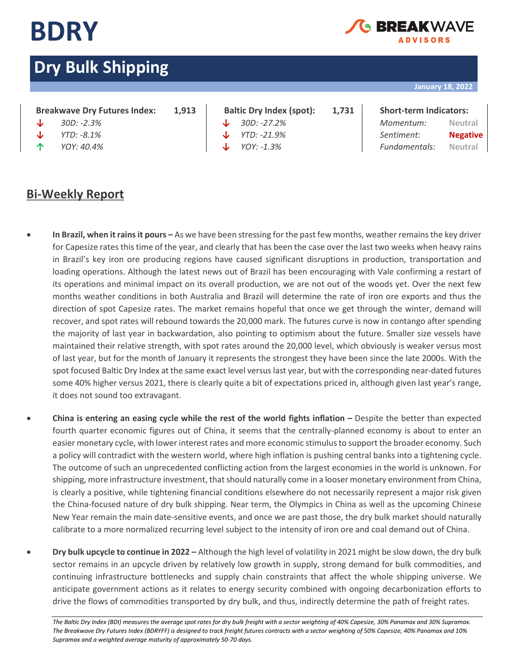

### **RDEAKWAY ADVISORS**

# **Dry Bulk Shipping**

### **January 18, 2022**

### **Breakwave Dry Futures Index: 1,913 Baltic Dry Index (spot): 1,731 Short-term Indicators:**

- 
- 
- 

### **Bi-Weekly Report**

- 
- 

## **↓** *30D: -2.3%* **↓** *30D: -27.2% Momentum:* **Neutral ↓** *YTD: -8.1%* **↓** *YTD: -21.9% Sentiment:* **Negative**

**↑** *YOY: 40.4%* **↓** *YOY: -1.3% Fundamentals:* **Neutral**

- **In Brazil, when it rains it pours –** As we have been stressing for the past few months, weather remains the key driver for Capesize rates this time of the year, and clearly that has been the case over the last two weeks when heavy rains in Brazil's key iron ore producing regions have caused significant disruptions in production, transportation and loading operations. Although the latest news out of Brazil has been encouraging with Vale confirming a restart of its operations and minimal impact on its overall production, we are not out of the woods yet. Over the next few months weather conditions in both Australia and Brazil will determine the rate of iron ore exports and thus the direction of spot Capesize rates. The market remains hopeful that once we get through the winter, demand will recover, and spot rates will rebound towards the 20,000 mark. The futures curve is now in contango after spending the majority of last year in backwardation, also pointing to optimism about the future. Smaller size vessels have maintained their relative strength, with spot rates around the 20,000 level, which obviously is weaker versus most of last year, but for the month of January it represents the strongest they have been since the late 2000s. With the spot focused Baltic Dry Index at the same exact level versus last year, but with the corresponding near-dated futures some 40% higher versus 2021, there is clearly quite a bit of expectations priced in, although given last year's range, it does not sound too extravagant.
- **China is entering an easing cycle while the rest of the world fights inflation –** Despite the better than expected fourth quarter economic figures out of China, it seems that the centrally-planned economy is about to enter an easier monetary cycle, with lower interest rates and more economic stimulus to support the broader economy. Such a policy will contradict with the western world, where high inflation is pushing central banks into a tightening cycle. The outcome of such an unprecedented conflicting action from the largest economies in the world is unknown. For shipping, more infrastructure investment, that should naturally come in a looser monetary environment from China, is clearly a positive, while tightening financial conditions elsewhere do not necessarily represent a major risk given the China-focused nature of dry bulk shipping. Near term, the Olympics in China as well as the upcoming Chinese New Year remain the main date-sensitive events, and once we are past those, the dry bulk market should naturally calibrate to a more normalized recurring level subject to the intensity of iron ore and coal demand out of China.
- **Dry bulk upcycle to continue in 2022 –** Although the high level of volatility in 2021 might be slow down, the dry bulk sector remains in an upcycle driven by relatively low growth in supply, strong demand for bulk commodities, and continuing infrastructure bottlenecks and supply chain constraints that affect the whole shipping universe. We anticipate government actions as it relates to energy security combined with ongoing decarbonization efforts to drive the flows of commodities transported by dry bulk, and thus, indirectly determine the path of freight rates.

The Baltic Dry Index (BDI) measures the average spot rates for dry bulk freight with a sector weighting of 40% Capesize, 30% Panamax and 30% Supramax. *The Breakwave Dry Futures Index (BDRYFF) is designed to track freight futures contracts with a sector weighting of 50% Capesize, 40% Panamax and 10% Supramax and a weighted average maturity of approximately 50-70 days.*